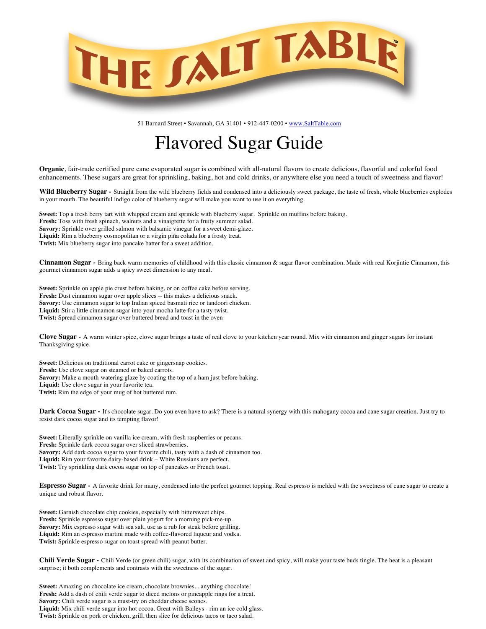

51 Barnard Street • Savannah, GA 31401 • 912-447-0200 • www.SaltTable.com

## Flavored Sugar Guide

**Organic**, fair-trade certified pure cane evaporated sugar is combined with all-natural flavors to create delicious, flavorful and colorful food enhancements. These sugars are great for sprinkling, baking, hot and cold drinks, or anywhere else you need a touch of sweetness and flavor!

**Wild Blueberry Sugar -** Straight from the wild blueberry fields and condensed into a deliciously sweet package, the taste of fresh, whole blueberries explodes in your mouth. The beautiful indigo color of blueberry sugar will make you want to use it on everything.

**Sweet:** Top a fresh berry tart with whipped cream and sprinkle with blueberry sugar. Sprinkle on muffins before baking. **Fresh:** Toss with fresh spinach, walnuts and a vinaigrette for a fruity summer salad. **Savory:** Sprinkle over grilled salmon with balsamic vinegar for a sweet demi-glaze. **Liquid:** Rim a blueberry cosmopolitan or a virgin piña colada for a frosty treat. **Twist:** Mix blueberry sugar into pancake batter for a sweet addition.

**Cinnamon Sugar -** Bring back warm memories of childhood with this classic cinnamon & sugar flavor combination. Made with real Korjintie Cinnamon, this gourmet cinnamon sugar adds a spicy sweet dimension to any meal.

**Sweet:** Sprinkle on apple pie crust before baking, or on coffee cake before serving. **Fresh:** Dust cinnamon sugar over apple slices -- this makes a delicious snack. **Savory:** Use cinnamon sugar to top Indian spiced basmati rice or tandoori chicken. **Liquid:** Stir a little cinnamon sugar into your mocha latte for a tasty twist. **Twist:** Spread cinnamon sugar over buttered bread and toast in the oven

**Clove Sugar -** A warm winter spice, clove sugar brings a taste of real clove to your kitchen year round. Mix with cinnamon and ginger sugars for instant Thanksgiving spice.

**Sweet:** Delicious on traditional carrot cake or gingersnap cookies. **Fresh:** Use clove sugar on steamed or baked carrots. **Savory:** Make a mouth-watering glaze by coating the top of a ham just before baking. **Liquid:** Use clove sugar in your favorite tea. **Twist:** Rim the edge of your mug of hot buttered rum.

**Dark Cocoa Sugar -** It's chocolate sugar. Do you even have to ask? There is a natural synergy with this mahogany cocoa and cane sugar creation. Just try to resist dark cocoa sugar and its tempting flavor!

**Sweet:** Liberally sprinkle on vanilla ice cream, with fresh raspberries or pecans. **Fresh:** Sprinkle dark cocoa sugar over sliced strawberries. **Savory:** Add dark cocoa sugar to your favorite chili, tasty with a dash of cinnamon too. **Liquid:** Rim your favorite dairy-based drink – White Russians are perfect. **Twist:** Try sprinkling dark cocoa sugar on top of pancakes or French toast.

**Espresso Sugar -** A favorite drink for many, condensed into the perfect gourmet topping. Real espresso is melded with the sweetness of cane sugar to create a unique and robust flavor.

**Sweet:** Garnish chocolate chip cookies, especially with bittersweet chips. **Fresh:** Sprinkle espresso sugar over plain yogurt for a morning pick-me-up. **Savory:** Mix espresso sugar with sea salt, use as a rub for steak before grilling. **Liquid:** Rim an espresso martini made with coffee-flavored liqueur and vodka. **Twist:** Sprinkle espresso sugar on toast spread with peanut butter.

**Chili Verde Sugar -** Chili Verde (or green chili) sugar, with its combination of sweet and spicy, will make your taste buds tingle. The heat is a pleasant surprise; it both complements and contrasts with the sweetness of the sugar.

**Sweet:** Amazing on chocolate ice cream, chocolate brownies... anything chocolate! **Fresh:** Add a dash of chili verde sugar to diced melons or pineapple rings for a treat. Savory: Chili verde sugar is a must-try on cheddar cheese scones. **Liquid:** Mix chili verde sugar into hot cocoa. Great with Baileys - rim an ice cold glass. **Twist:** Sprinkle on pork or chicken, grill, then slice for delicious tacos or taco salad.